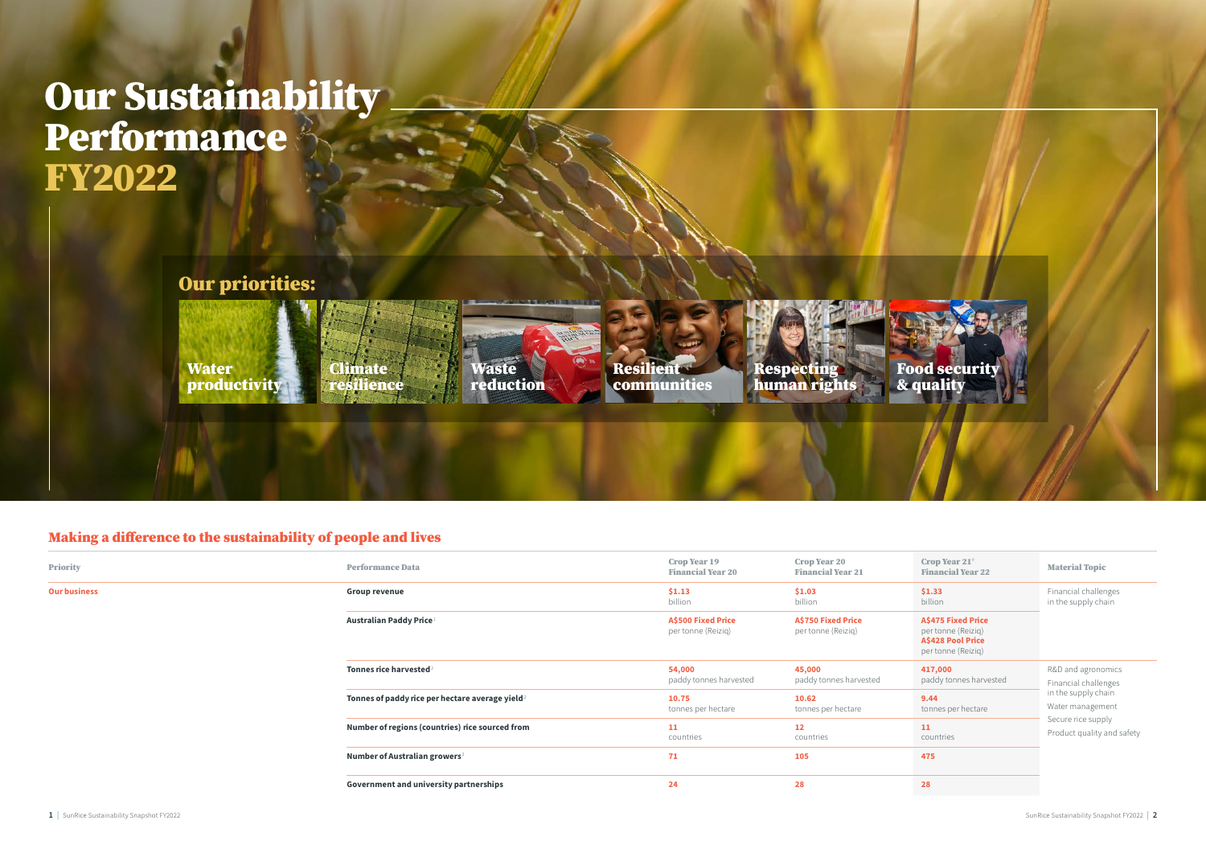## Making a difference to the sustainability of people and lives

| <b>Priority</b>     | <b>Performance Data</b>                                     | <b>Crop Year 19</b><br><b>Financial Year 20</b> | <b>Crop Year 20</b><br><b>Financial Year 21</b> | <b>Cro</b><br>Fin          |
|---------------------|-------------------------------------------------------------|-------------------------------------------------|-------------------------------------------------|----------------------------|
| <b>Our business</b> | <b>Group revenue</b>                                        | \$1.13<br>billion                               | \$1.03<br>billion                               | \$1.5<br>billi             |
|                     | Australian Paddy Price <sup>1</sup>                         | <b>A\$500 Fixed Price</b><br>per tonne (Reiziq) | <b>A\$750 Fixed Price</b><br>per tonne (Reiziq) | A\$4<br>per<br>A\$4<br>per |
|                     | Tonnes rice harvested <sup>2</sup>                          | 54,000<br>paddy tonnes harvested                | 45,000<br>paddy tonnes harvested                | 417<br>pad                 |
|                     | Tonnes of paddy rice per hectare average yield <sup>2</sup> | 10.75<br>tonnes per hectare                     | 10.62<br>tonnes per hectare                     | 9.4<br>ton                 |
|                     | Number of regions (countries) rice sourced from             | 11<br>countries                                 | <b>12</b><br>countries                          | 11<br>cou                  |
|                     | Number of Australian growers <sup>2</sup>                   | 71                                              | 105                                             | 475                        |
|                     | <b>Government and university partnerships</b>               | 24                                              | 28                                              | 28                         |

# **Our Sustainability Performance** FY2022



| Crop Year $21^{\star}$<br><b>Financial Year 22</b>                                                | <b>Material Topic</b>                            |
|---------------------------------------------------------------------------------------------------|--------------------------------------------------|
| \$1.33<br>billion                                                                                 | Financial challenges<br>in the supply chain      |
| <b>A\$475 Fixed Price</b><br>per tonne (Reizig)<br><b>A\$428 Pool Price</b><br>per tonne (Reiziq) |                                                  |
| 417,000<br>paddy tonnes harvested                                                                 | R&D and agronomics<br>Financial challenges       |
| 9.44<br>tonnes per hectare                                                                        | in the supply chain<br>Water management          |
| 11<br>countries                                                                                   | Secure rice supply<br>Product quality and safety |
| 475                                                                                               |                                                  |
| 28                                                                                                |                                                  |
|                                                                                                   |                                                  |

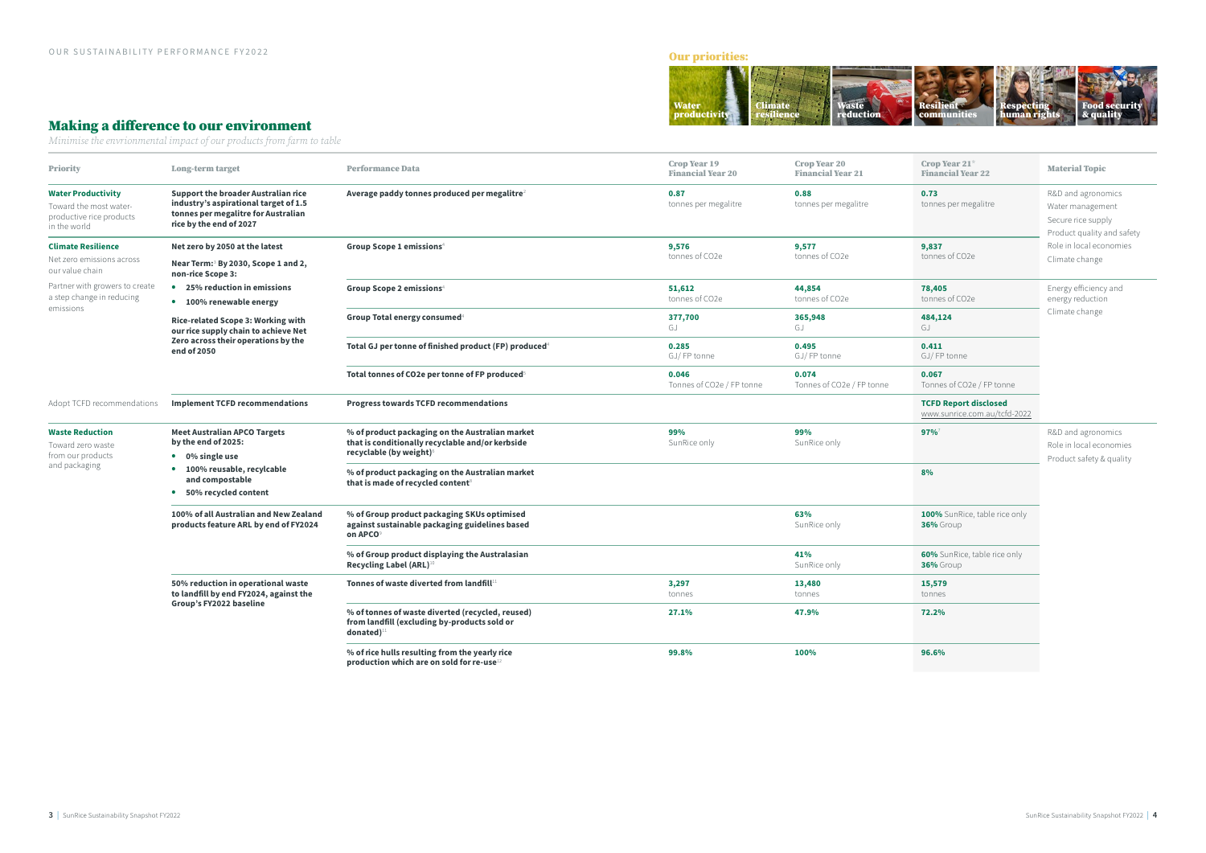#### Making a difference to our environment

*Minimise the envrionmental impact of our products from farm to table*

| <b>Priority</b>                                                                                 | <b>Long-term target</b>                                                                                                                               | <b>Performance Data</b>                                                                                                                    | <b>Crop Year 19</b><br><b>Financial Year 20</b> | <b>Crop Year 20</b><br><b>Financial Year 21</b> | Crop Year $21^*$<br><b>Financial Year 22</b>                 | <b>Material Topic</b>                                                                      |
|-------------------------------------------------------------------------------------------------|-------------------------------------------------------------------------------------------------------------------------------------------------------|--------------------------------------------------------------------------------------------------------------------------------------------|-------------------------------------------------|-------------------------------------------------|--------------------------------------------------------------|--------------------------------------------------------------------------------------------|
| <b>Water Productivity</b><br>Toward the most water-<br>productive rice products<br>in the world | <b>Support the broader Australian rice</b><br>industry's aspirational target of 1.5<br>tonnes per megalitre for Australian<br>rice by the end of 2027 | Average paddy tonnes produced per megalitre <sup>2</sup>                                                                                   | 0.87<br>tonnes per megalitre                    | 0.88<br>tonnes per megalitre                    | 0.73<br>tonnes per megalitre                                 | R&D and agronomics<br>Water management<br>Secure rice supply<br>Product quality and safety |
| <b>Climate Resilience</b>                                                                       | Net zero by 2050 at the latest                                                                                                                        | Group Scope 1 emissions <sup>4</sup>                                                                                                       | 9,576                                           | 9,577                                           | 9,837                                                        | Role in local economies                                                                    |
| Net zero emissions across<br>our value chain                                                    | Near Term: <sup>3</sup> By 2030, Scope 1 and 2,<br>non-rice Scope 3:                                                                                  |                                                                                                                                            | tonnes of CO2e                                  | tonnes of CO2e                                  | tonnes of CO2e                                               | Climate change                                                                             |
| Partner with growers to create<br>a step change in reducing                                     | • 25% reduction in emissions<br>• 100% renewable energy                                                                                               | Group Scope 2 emissions <sup>4</sup>                                                                                                       | 51,612<br>tonnes of CO2e                        | 44,854<br>tonnes of CO2e                        | 78,405<br>tonnes of CO2e                                     | Energy efficiency and<br>energy reduction                                                  |
| emissions                                                                                       | Rice-related Scope 3: Working with<br>our rice supply chain to achieve Net                                                                            | Group Total energy consumed <sup>4</sup>                                                                                                   | 377,700<br>GJ                                   | 365,948<br>GJ                                   | 484,124<br>GJ                                                | Climate change                                                                             |
|                                                                                                 | Zero across their operations by the<br>end of 2050                                                                                                    | Total GJ per tonne of finished product (FP) produced <sup>4</sup>                                                                          | 0.285<br>GJ/FP tonne                            | 0.495<br>GJ/FP tonne                            | 0.411<br>GJ/FP tonne                                         |                                                                                            |
|                                                                                                 |                                                                                                                                                       | Total tonnes of CO2e per tonne of FP produced <sup>5</sup>                                                                                 | 0.046<br>Tonnes of CO2e / FP tonne              | 0.074<br>Tonnes of CO2e / FP tonne              | 0.067<br>Tonnes of CO2e / FP tonne                           |                                                                                            |
| Adopt TCFD recommendations                                                                      | <b>Implement TCFD recommendations</b>                                                                                                                 | <b>Progress towards TCFD recommendations</b>                                                                                               |                                                 |                                                 | <b>TCFD Report disclosed</b><br>www.sunrice.com.au/tcfd-2022 |                                                                                            |
| <b>Waste Reduction</b><br>Toward zero waste<br>from our products<br>and packaging               | <b>Meet Australian APCO Targets</b><br>by the end of 2025:<br>• 0% single use                                                                         | % of product packaging on the Australian market<br>that is conditionally recyclable and/or kerbside<br>recyclable (by weight) <sup>6</sup> | 99%<br>SunRice only                             | 99%<br>SunRice only                             | 97%                                                          | R&D and agronomics<br>Role in local economies<br>Product safety & quality                  |
|                                                                                                 | • 100% reusable, recylcable<br>and compostable<br>• 50% recycled content                                                                              | % of product packaging on the Australian market<br>that is made of recycled content <sup>8</sup>                                           |                                                 |                                                 | 8%                                                           |                                                                                            |
|                                                                                                 | 100% of all Australian and New Zealand<br>products feature ARL by end of FY2024                                                                       | % of Group product packaging SKUs optimised<br>against sustainable packaging guidelines based<br>on APCO                                   |                                                 | 63%<br>SunRice only                             | 100% SunRice, table rice only<br>36% Group                   |                                                                                            |
|                                                                                                 |                                                                                                                                                       | % of Group product displaying the Australasian<br>Recycling Label (ARL) <sup>10</sup>                                                      |                                                 | 41%<br>SunRice only                             | 60% SunRice, table rice only<br>36% Group                    |                                                                                            |
|                                                                                                 | 50% reduction in operational waste<br>to landfill by end FY2024, against the                                                                          | Tonnes of waste diverted from landfill <sup>1</sup>                                                                                        | 3,297<br>tonnes                                 | 13,480<br>tonnes                                | 15,579<br>tonnes                                             |                                                                                            |
|                                                                                                 | Group's FY2022 baseline                                                                                                                               | % of tonnes of waste diverted (recycled, reused)<br>from landfill (excluding by-products sold or<br>$\frac{1}{2}$ donated) <sup>1</sup>    | 27.1%                                           | 47.9%                                           | 72.2%                                                        |                                                                                            |
|                                                                                                 |                                                                                                                                                       | % of rice hulls resulting from the yearly rice<br>production which are on sold for re-use <sup>1</sup>                                     | 99.8%                                           | 100%                                            | 96.6%                                                        |                                                                                            |

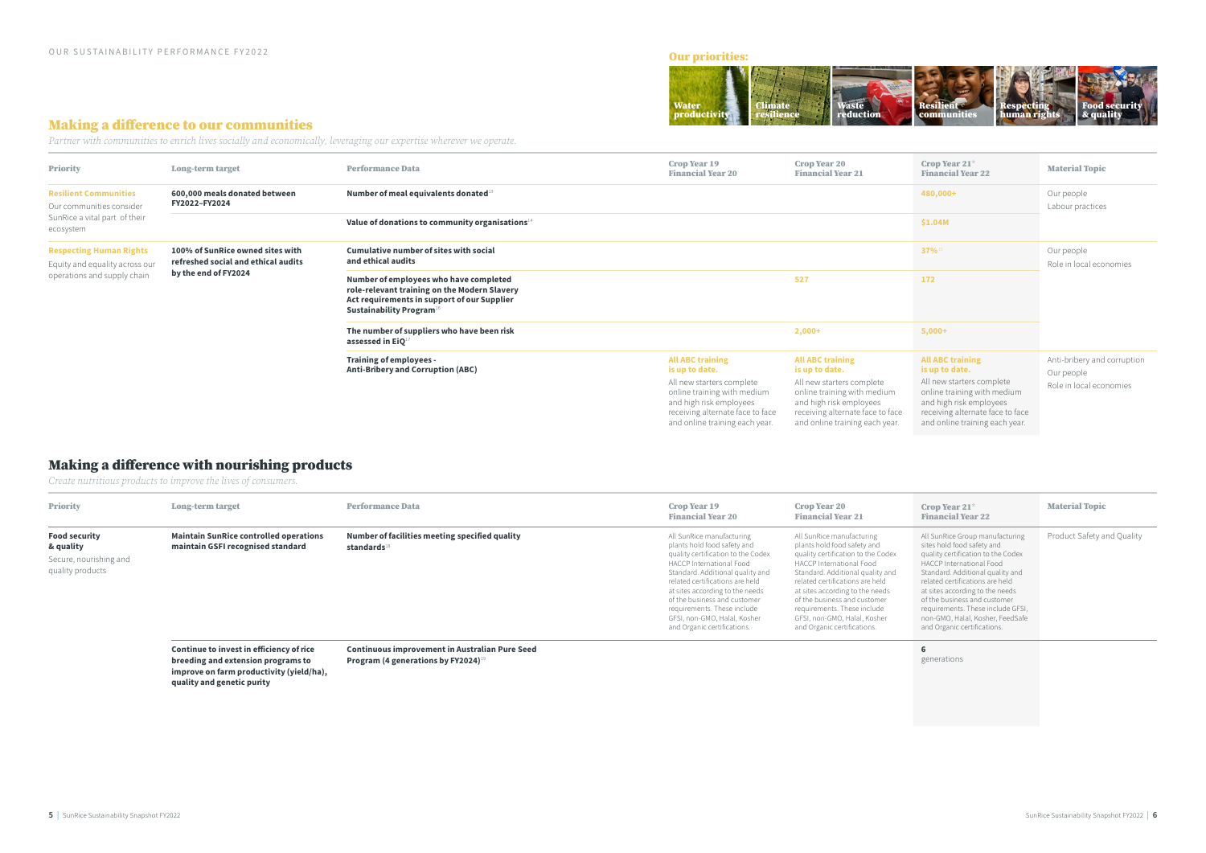### Making a difference to our communities

*Partner with communities to enrich lives socially and economically, leveraging our expertise wherever we operate.*

| <b>Priority</b>                                                                                                                                                                                    | <b>Long-term target</b>                                              | <b>Performance Data</b>                                                                                                                                                      | <b>Crop Year 19</b><br><b>Financial Year 20</b>                                                                                                                                                        | <b>Crop Year 20</b><br><b>Financial Year 21</b>                                                                                                                                                        | Crop Year $21^*$<br><b>Financial Year 22</b>                                                                                                                                                           | <b>Material Topic</b>                                                |
|----------------------------------------------------------------------------------------------------------------------------------------------------------------------------------------------------|----------------------------------------------------------------------|------------------------------------------------------------------------------------------------------------------------------------------------------------------------------|--------------------------------------------------------------------------------------------------------------------------------------------------------------------------------------------------------|--------------------------------------------------------------------------------------------------------------------------------------------------------------------------------------------------------|--------------------------------------------------------------------------------------------------------------------------------------------------------------------------------------------------------|----------------------------------------------------------------------|
| <b>Resilient Communities</b><br>FY2022-FY2024<br>Our communities consider<br>SunRice a vital part of their<br>ecosystem                                                                            | 600,000 meals donated between                                        | Number of meal equivalents donated <sup>13</sup>                                                                                                                             |                                                                                                                                                                                                        |                                                                                                                                                                                                        | 480,000+                                                                                                                                                                                               | Our people<br>Labour practices                                       |
|                                                                                                                                                                                                    |                                                                      | Value of donations to community organisations <sup>14</sup>                                                                                                                  |                                                                                                                                                                                                        |                                                                                                                                                                                                        | \$1.04M                                                                                                                                                                                                |                                                                      |
| 100% of SunRice owned sites with<br><b>Respecting Human Rights</b><br>refreshed social and ethical audits<br>Equity and equality across our<br>by the end of FY2024<br>operations and supply chain |                                                                      | <b>Cumulative number of sites with social</b><br>and ethical audits                                                                                                          |                                                                                                                                                                                                        |                                                                                                                                                                                                        | $37\%$ <sup>15</sup>                                                                                                                                                                                   | Our people<br>Role in local economies                                |
|                                                                                                                                                                                                    |                                                                      | Number of employees who have completed<br>role-relevant training on the Modern Slavery<br>Act requirements in support of our Supplier<br>Sustainability Program <sup>1</sup> |                                                                                                                                                                                                        | 527                                                                                                                                                                                                    | 172                                                                                                                                                                                                    |                                                                      |
|                                                                                                                                                                                                    | The number of suppliers who have been risk<br>assessed in $EiQ^{17}$ |                                                                                                                                                                              | $2,000+$                                                                                                                                                                                               | $5,000+$                                                                                                                                                                                               |                                                                                                                                                                                                        |                                                                      |
|                                                                                                                                                                                                    |                                                                      | <b>Training of employees -</b><br><b>Anti-Bribery and Corruption (ABC)</b>                                                                                                   | <b>All ABC training</b><br>is up to date.<br>All new starters complete<br>online training with medium<br>and high risk employees<br>receiving alternate face to face<br>and online training each year. | <b>All ABC training</b><br>is up to date.<br>All new starters complete<br>online training with medium<br>and high risk employees<br>receiving alternate face to face<br>and online training each year. | <b>All ABC training</b><br>is up to date.<br>All new starters complete<br>online training with medium<br>and high risk employees<br>receiving alternate face to face<br>and online training each year. | Anti-bribery and corruption<br>Our people<br>Role in local economies |

# Making a difference with nourishing products

*Create nutritious products to improve the lives of consumers.*

| <b>Priority</b>                                                                 | <b>Long-term target</b>                                                            | <b>Performance Data</b>                                             | <b>Crop Year 19</b><br><b>Financial Year 20</b>                                                                                                                                                                                                                                                                                                                    | <b>Crop Year 20</b><br><b>Financial Year 21</b>                                                                                                                                                                                                                                                                                                                    | Crop Year 21 $*$<br><b>Financial Year 22</b>                                                                                                                                                                                                                                                                                                                                      | <b>Material Topic</b>      |
|---------------------------------------------------------------------------------|------------------------------------------------------------------------------------|---------------------------------------------------------------------|--------------------------------------------------------------------------------------------------------------------------------------------------------------------------------------------------------------------------------------------------------------------------------------------------------------------------------------------------------------------|--------------------------------------------------------------------------------------------------------------------------------------------------------------------------------------------------------------------------------------------------------------------------------------------------------------------------------------------------------------------|-----------------------------------------------------------------------------------------------------------------------------------------------------------------------------------------------------------------------------------------------------------------------------------------------------------------------------------------------------------------------------------|----------------------------|
| <b>Food security</b><br>& quality<br>Secure, nourishing and<br>quality products | <b>Maintain SunRice controlled operations</b><br>maintain GSFI recognised standard | Number of facilities meeting specified quality<br>standards $^{18}$ | All SunRice manufacturing<br>plants hold food safety and<br>quality certification to the Codex<br>HACCP International Food<br>Standard. Additional quality and<br>related certifications are held<br>at sites according to the needs<br>of the business and customer<br>requirements. These include<br>GFSI, non-GMO, Halal, Kosher<br>and Organic certifications. | All SunRice manufacturing<br>plants hold food safety and<br>quality certification to the Codex<br>HACCP International Food<br>Standard. Additional quality and<br>related certifications are held<br>at sites according to the needs<br>of the business and customer<br>requirements. These include<br>GFSI, non-GMO, Halal, Kosher<br>and Organic certifications. | All SunRice Group manufacturing<br>sites hold food safety and<br>quality certification to the Codex<br>HACCP International Food<br>Standard. Additional quality and<br>related certifications are held<br>at sites according to the needs<br>of the business and customer<br>requirements. These include GFSI,<br>non-GMO, Halal, Kosher, FeedSafe<br>and Organic certifications. | Product Safety and Quality |
|                                                                                 | Continue to invest in efficiency of rice                                           | <b>Continuous improvement in Australian Pure Seed</b>               |                                                                                                                                                                                                                                                                                                                                                                    |                                                                                                                                                                                                                                                                                                                                                                    |                                                                                                                                                                                                                                                                                                                                                                                   |                            |

breeding and extension programs to improve on farm productivity (yield/ha), quality and genetic purity

Program (4 generations by FY2024)<sup>19</sup>

generations